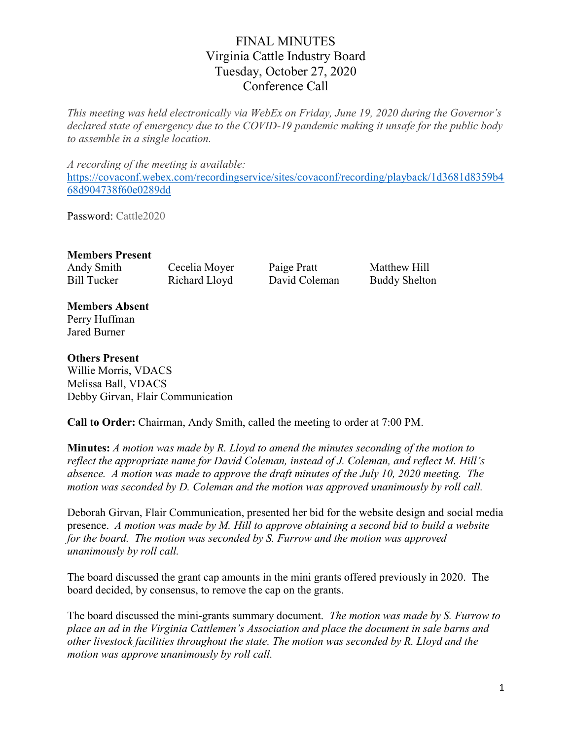## FINAL MINUTES Virginia Cattle Industry Board Tuesday, October 27, 2020 Conference Call

This meeting was held electronically via WebEx on Friday, June 19, 2020 during the Governor's declared state of emergency due to the COVID-19 pandemic making it unsafe for the public body to assemble in a single location.

A recording of the meeting is available: https://covaconf.webex.com/recordingservice/sites/covaconf/recording/playback/1d3681d8359b4 68d904738f60e0289dd

Password: Cattle2020

### Members Present

Andy Smith Cecelia Moyer Paige Pratt Matthew Hill Bill Tucker Richard Lloyd David Coleman Buddy Shelton

#### Members Absent Perry Huffman Jared Burner

Others Present Willie Morris, VDACS Melissa Ball, VDACS Debby Girvan, Flair Communication

Call to Order: Chairman, Andy Smith, called the meeting to order at 7:00 PM.

Minutes: A motion was made by R. Lloyd to amend the minutes seconding of the motion to reflect the appropriate name for David Coleman, instead of J. Coleman, and reflect M. Hill's absence. A motion was made to approve the draft minutes of the July 10, 2020 meeting. The motion was seconded by D. Coleman and the motion was approved unanimously by roll call.

Deborah Girvan, Flair Communication, presented her bid for the website design and social media presence. A motion was made by M. Hill to approve obtaining a second bid to build a website for the board. The motion was seconded by S. Furrow and the motion was approved unanimously by roll call.

The board discussed the grant cap amounts in the mini grants offered previously in 2020. The board decided, by consensus, to remove the cap on the grants.

The board discussed the mini-grants summary document. The motion was made by S. Furrow to place an ad in the Virginia Cattlemen's Association and place the document in sale barns and other livestock facilities throughout the state. The motion was seconded by R. Lloyd and the motion was approve unanimously by roll call.